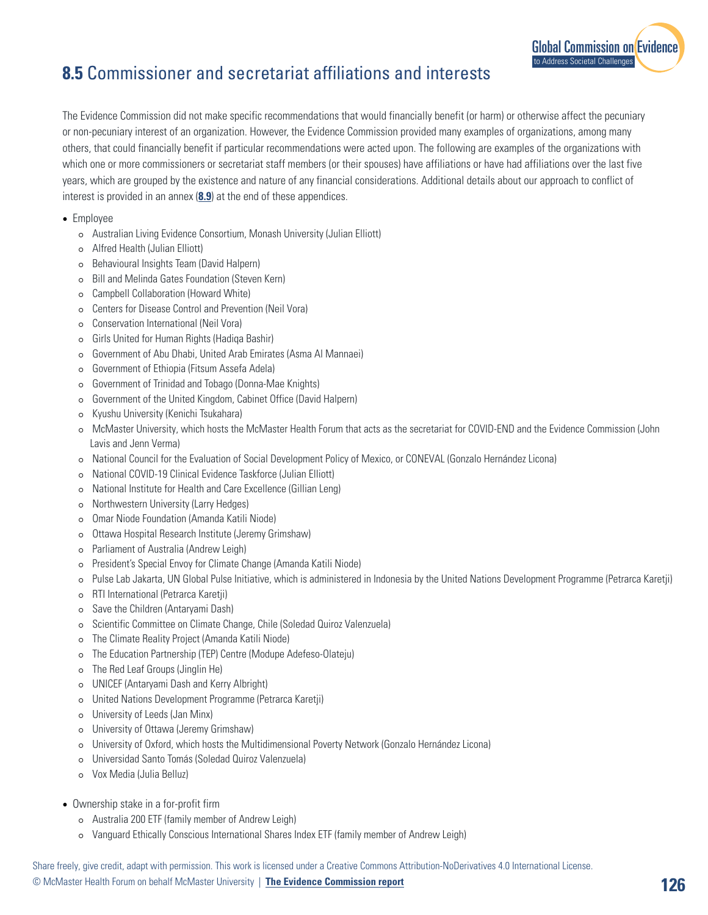## **8.5** Commissioner and secretariat affiliations and interests

The Evidence Commission did not make specific recommendations that would financially benefit (or harm) or otherwise affect the pecuniary or non-pecuniary interest of an organization. However, the Evidence Commission provided many examples of organizations, among many others, that could financially benefit if particular recommendations were acted upon. The following are examples of the organizations with which one or more commissioners or secretariat staff members (or their spouses) have affiliations or have had affiliations over the last five years, which are grouped by the existence and nature of any financial considerations. Additional details about our approach to conflict of interest is provided in an annex (**8.9**) at the end of these appendices.

- Employee
	- ⚪ Australian Living Evidence Consortium, Monash University (Julian Elliott)
	- ⚪ Alfred Health (Julian Elliott)
	- ⚪ Behavioural Insights Team (David Halpern)
	- ⚪ Bill and Melinda Gates Foundation (Steven Kern)
	- ⚪ Campbell Collaboration (Howard White)
	- ⚪ Centers for Disease Control and Prevention (Neil Vora)
	- ⚪ Conservation International (Neil Vora)
	- ⚪ Girls United for Human Rights (Hadiqa Bashir)
	- ⚪ Government of Abu Dhabi, United Arab Emirates (Asma Al Mannaei)
	- ⚪ Government of Ethiopia (Fitsum Assefa Adela)
	- ⚪ Government of Trinidad and Tobago (Donna-Mae Knights)
	- ⚪ Government of the United Kingdom, Cabinet Office (David Halpern)
	- ⚪ Kyushu University (Kenichi Tsukahara)
	- ⚪ McMaster University, which hosts the McMaster Health Forum that acts as the secretariat for COVID-END and the Evidence Commission (John Lavis and Jenn Verma)
	- ⚪ National Council for the Evaluation of Social Development Policy of Mexico, or CONEVAL (Gonzalo Hernández Licona)
	- ⚪ National COVID-19 Clinical Evidence Taskforce (Julian Elliott)
	- ⚪ National Institute for Health and Care Excellence (Gillian Leng)
	- ⚪ Northwestern University (Larry Hedges)
	- ⚪ Omar Niode Foundation (Amanda Katili Niode)
	- ⚪ Ottawa Hospital Research Institute (Jeremy Grimshaw)
	- ⚪ Parliament of Australia (Andrew Leigh)
	- ⚪ President's Special Envoy for Climate Change (Amanda Katili Niode)
	- ⚪ Pulse Lab Jakarta, UN Global Pulse Initiative, which is administered in Indonesia by the United Nations Development Programme (Petrarca Karetji)
	- ⚪ RTI International (Petrarca Karetji)
	- ⚪ Save the Children (Antaryami Dash)
	- ⚪ Scientific Committee on Climate Change, Chile (Soledad Quiroz Valenzuela)
	- ⚪ The Climate Reality Project (Amanda Katili Niode)
	- ⚪ The Education Partnership (TEP) Centre (Modupe Adefeso-Olateju)
	- ⚪ The Red Leaf Groups (Jinglin He)
	- ⚪ UNICEF (Antaryami Dash and Kerry Albright)
	- ⚪ United Nations Development Programme (Petrarca Karetji)
	- ⚪ University of Leeds (Jan Minx)
	- ⚪ University of Ottawa (Jeremy Grimshaw)
	- ⚪ University of Oxford, which hosts the Multidimensional Poverty Network (Gonzalo Hernández Licona)
	- ⚪ Universidad Santo Tomás (Soledad Quiroz Valenzuela)
	- ⚪ Vox Media (Julia Belluz)
- Ownership stake in a for-profit firm
	- ⚪ Australia 200 ETF (family member of Andrew Leigh)
	- ⚪ Vanguard Ethically Conscious International Shares Index ETF (family member of Andrew Leigh)

[Global Commission on Evidence](https://www.mcmasterforum.org/networks/evidence-commission/report/english)

to Address Societal Challenges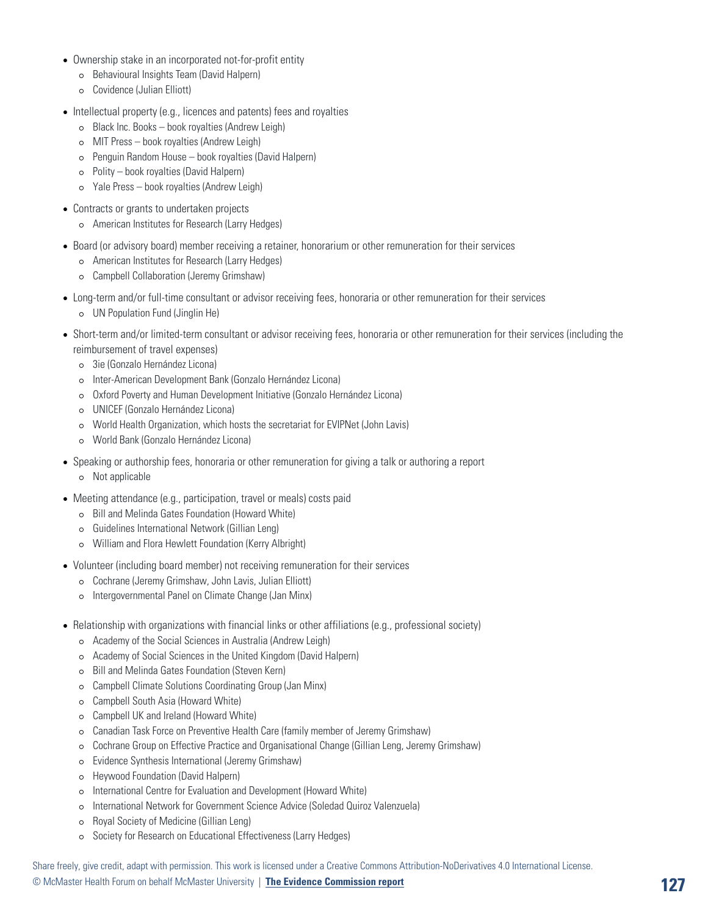- Ownership stake in an incorporated not-for-profit entity
	- ⚪ Behavioural Insights Team (David Halpern)
	- ⚪ Covidence (Julian Elliott)
- Intellectual property (e.g., licences and patents) fees and royalties
	- ⚪ Black Inc. Books book royalties (Andrew Leigh)
	- ⚪ MIT Press book royalties (Andrew Leigh)
	- ⚪ Penguin Random House book royalties (David Halpern)
	- ⚪ Polity book royalties (David Halpern)
	- ⚪ Yale Press book royalties (Andrew Leigh)
- Contracts or grants to undertaken projects
	- ⚪ American Institutes for Research (Larry Hedges)
- Board (or advisory board) member receiving a retainer, honorarium or other remuneration for their services
	- ⚪ American Institutes for Research (Larry Hedges)
	- ⚪ Campbell Collaboration (Jeremy Grimshaw)
- Long-term and/or full-time consultant or advisor receiving fees, honoraria or other remuneration for their services
	- ⚪ UN Population Fund (Jinglin He)
- Short-term and/or limited-term consultant or advisor receiving fees, honoraria or other remuneration for their services (including the reimbursement of travel expenses)
	- ⚪ 3ie (Gonzalo Hernández Licona)
	- ⚪ Inter-American Development Bank (Gonzalo Hernández Licona)
	- ⚪ Oxford Poverty and Human Development Initiative (Gonzalo Hernández Licona)
	- ⚪ UNICEF (Gonzalo Hernández Licona)
	- ⚪ World Health Organization, which hosts the secretariat for EVIPNet (John Lavis)
	- ⚪ World Bank (Gonzalo Hernández Licona)
- Speaking or authorship fees, honoraria or other remuneration for giving a talk or authoring a report
	- ⚪ Not applicable
- Meeting attendance (e.g., participation, travel or meals) costs paid
	- ⚪ Bill and Melinda Gates Foundation (Howard White)
	- ⚪ Guidelines International Network (Gillian Leng)
	- ⚪ William and Flora Hewlett Foundation (Kerry Albright)
- Volunteer (including board member) not receiving remuneration for their services
	- ⚪ Cochrane (Jeremy Grimshaw, John Lavis, Julian Elliott)
	- ⚪ Intergovernmental Panel on Climate Change (Jan Minx)
- Relationship with organizations with financial links or other affiliations (e.g., professional society)
	- ⚪ Academy of the Social Sciences in Australia (Andrew Leigh)
	- ⚪ Academy of Social Sciences in the United Kingdom (David Halpern)
	- ⚪ Bill and Melinda Gates Foundation (Steven Kern)
	- ⚪ Campbell Climate Solutions Coordinating Group (Jan Minx)
	- ⚪ Campbell South Asia (Howard White)
	- ⚪ Campbell UK and Ireland (Howard White)
	- ⚪ Canadian Task Force on Preventive Health Care (family member of Jeremy Grimshaw)
	- ⚪ Cochrane Group on Effective Practice and Organisational Change (Gillian Leng, Jeremy Grimshaw)
	- ⚪ Evidence Synthesis International (Jeremy Grimshaw)
	- ⚪ Heywood Foundation (David Halpern)
	- ⚪ International Centre for Evaluation and Development (Howard White)
	- ⚪ International Network for Government Science Advice (Soledad Quiroz Valenzuela)
	- ⚪ Royal Society of Medicine (Gillian Leng)
	- ⚪ Society for Research on Educational Effectiveness (Larry Hedges)